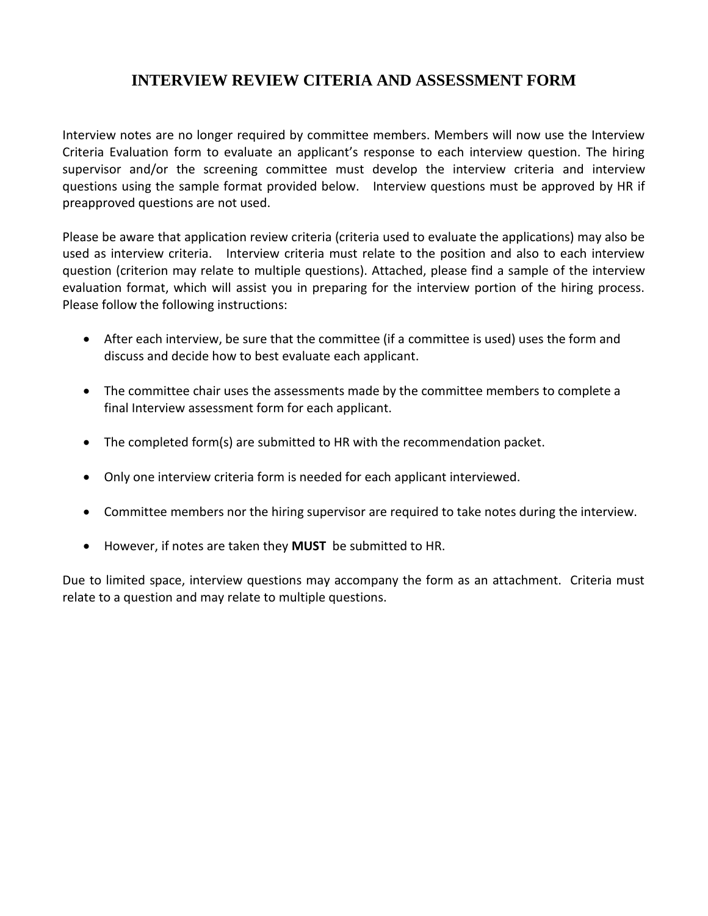## **INTERVIEW REVIEW CITERIA AND ASSESSMENT FORM**

Interview notes are no longer required by committee members. Members will now use the Interview Criteria Evaluation form to evaluate an applicant's response to each interview question. The hiring supervisor and/or the screening committee must develop the interview criteria and interview questions using the sample format provided below. Interview questions must be approved by HR if preapproved questions are not used.

Please be aware that application review criteria (criteria used to evaluate the applications) may also be used as interview criteria. Interview criteria must relate to the position and also to each interview question (criterion may relate to multiple questions). Attached, please find a sample of the interview evaluation format, which will assist you in preparing for the interview portion of the hiring process. Please follow the following instructions:

- After each interview, be sure that the committee (if a committee is used) uses the form and discuss and decide how to best evaluate each applicant.
- The committee chair uses the assessments made by the committee members to complete a final Interview assessment form for each applicant.
- The completed form(s) are submitted to HR with the recommendation packet.
- Only one interview criteria form is needed for each applicant interviewed.
- Committee members nor the hiring supervisor are required to take notes during the interview.
- However, if notes are taken they **MUST** be submitted to HR.

Due to limited space, interview questions may accompany the form as an attachment. Criteria must relate to a question and may relate to multiple questions.